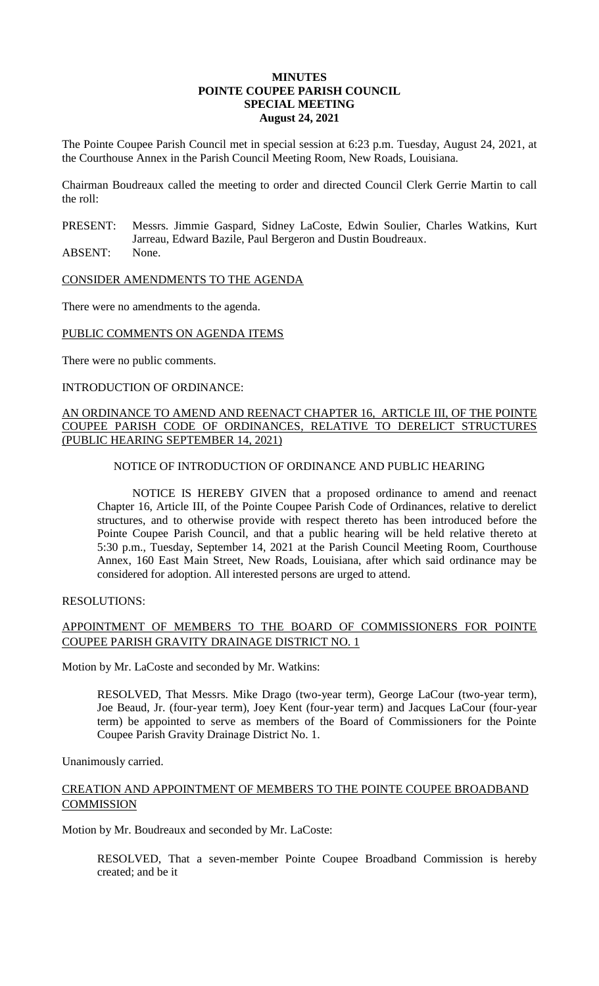#### **MINUTES POINTE COUPEE PARISH COUNCIL SPECIAL MEETING August 24, 2021**

The Pointe Coupee Parish Council met in special session at 6:23 p.m. Tuesday, August 24, 2021, at the Courthouse Annex in the Parish Council Meeting Room, New Roads, Louisiana.

Chairman Boudreaux called the meeting to order and directed Council Clerk Gerrie Martin to call the roll:

- PRESENT: Messrs. Jimmie Gaspard, Sidney LaCoste, Edwin Soulier, Charles Watkins, Kurt Jarreau, Edward Bazile, Paul Bergeron and Dustin Boudreaux.
- ABSENT: None.

CONSIDER AMENDMENTS TO THE AGENDA

There were no amendments to the agenda.

### PUBLIC COMMENTS ON AGENDA ITEMS

There were no public comments.

#### INTRODUCTION OF ORDINANCE:

### AN ORDINANCE TO AMEND AND REENACT CHAPTER 16, ARTICLE III, OF THE POINTE COUPEE PARISH CODE OF ORDINANCES, RELATIVE TO DERELICT STRUCTURES (PUBLIC HEARING SEPTEMBER 14, 2021)

### NOTICE OF INTRODUCTION OF ORDINANCE AND PUBLIC HEARING

NOTICE IS HEREBY GIVEN that a proposed ordinance to amend and reenact Chapter 16, Article III, of the Pointe Coupee Parish Code of Ordinances, relative to derelict structures, and to otherwise provide with respect thereto has been introduced before the Pointe Coupee Parish Council, and that a public hearing will be held relative thereto at 5:30 p.m., Tuesday, September 14, 2021 at the Parish Council Meeting Room, Courthouse Annex, 160 East Main Street, New Roads, Louisiana, after which said ordinance may be considered for adoption. All interested persons are urged to attend.

### RESOLUTIONS:

# APPOINTMENT OF MEMBERS TO THE BOARD OF COMMISSIONERS FOR POINTE COUPEE PARISH GRAVITY DRAINAGE DISTRICT NO. 1

Motion by Mr. LaCoste and seconded by Mr. Watkins:

RESOLVED, That Messrs. Mike Drago (two-year term), George LaCour (two-year term), Joe Beaud, Jr. (four-year term), Joey Kent (four-year term) and Jacques LaCour (four-year term) be appointed to serve as members of the Board of Commissioners for the Pointe Coupee Parish Gravity Drainage District No. 1.

Unanimously carried.

### CREATION AND APPOINTMENT OF MEMBERS TO THE POINTE COUPEE BROADBAND **COMMISSION**

Motion by Mr. Boudreaux and seconded by Mr. LaCoste:

RESOLVED, That a seven-member Pointe Coupee Broadband Commission is hereby created; and be it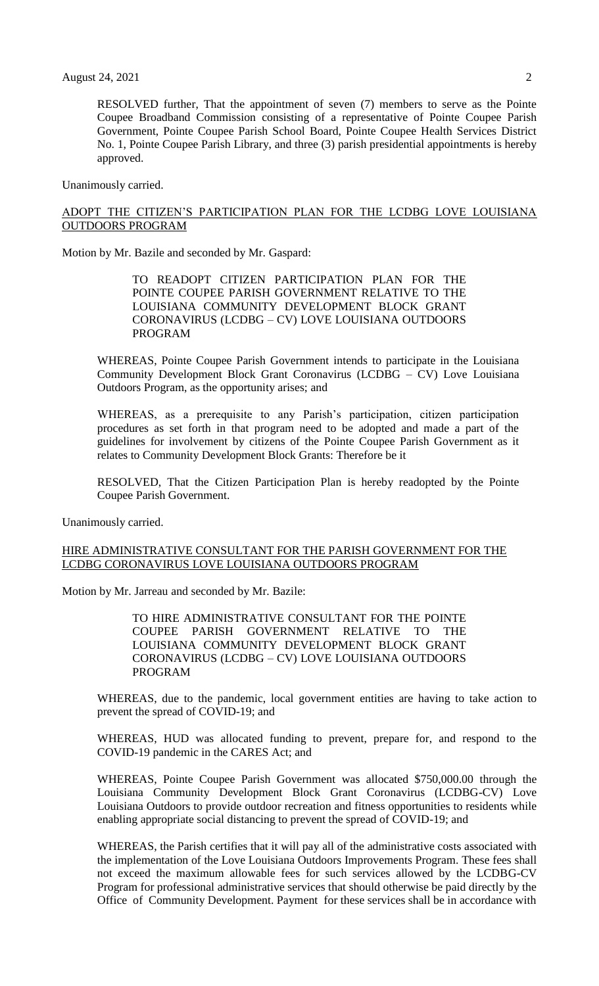RESOLVED further, That the appointment of seven (7) members to serve as the Pointe Coupee Broadband Commission consisting of a representative of Pointe Coupee Parish Government, Pointe Coupee Parish School Board, Pointe Coupee Health Services District No. 1, Pointe Coupee Parish Library, and three (3) parish presidential appointments is hereby approved.

Unanimously carried.

### ADOPT THE CITIZEN'S PARTICIPATION PLAN FOR THE LCDBG LOVE LOUISIANA OUTDOORS PROGRAM

Motion by Mr. Bazile and seconded by Mr. Gaspard:

TO READOPT CITIZEN PARTICIPATION PLAN FOR THE POINTE COUPEE PARISH GOVERNMENT RELATIVE TO THE LOUISIANA COMMUNITY DEVELOPMENT BLOCK GRANT CORONAVIRUS (LCDBG – CV) LOVE LOUISIANA OUTDOORS PROGRAM

WHEREAS, Pointe Coupee Parish Government intends to participate in the Louisiana Community Development Block Grant Coronavirus (LCDBG – CV) Love Louisiana Outdoors Program, as the opportunity arises; and

WHEREAS, as a prerequisite to any Parish's participation, citizen participation procedures as set forth in that program need to be adopted and made a part of the guidelines for involvement by citizens of the Pointe Coupee Parish Government as it relates to Community Development Block Grants: Therefore be it

RESOLVED, That the Citizen Participation Plan is hereby readopted by the Pointe Coupee Parish Government.

Unanimously carried.

### HIRE ADMINISTRATIVE CONSULTANT FOR THE PARISH GOVERNMENT FOR THE LCDBG CORONAVIRUS LOVE LOUISIANA OUTDOORS PROGRAM

Motion by Mr. Jarreau and seconded by Mr. Bazile:

TO HIRE ADMINISTRATIVE CONSULTANT FOR THE POINTE COUPEE PARISH GOVERNMENT RELATIVE TO THE LOUISIANA COMMUNITY DEVELOPMENT BLOCK GRANT CORONAVIRUS (LCDBG – CV) LOVE LOUISIANA OUTDOORS PROGRAM

WHEREAS, due to the pandemic, local government entities are having to take action to prevent the spread of COVID-19; and

WHEREAS, HUD was allocated funding to prevent, prepare for, and respond to the COVID-19 pandemic in the CARES Act; and

WHEREAS, Pointe Coupee Parish Government was allocated \$750,000.00 through the Louisiana Community Development Block Grant Coronavirus (LCDBG-CV) Love Louisiana Outdoors to provide outdoor recreation and fitness opportunities to residents while enabling appropriate social distancing to prevent the spread of COVID-19; and

WHEREAS, the Parish certifies that it will pay all of the administrative costs associated with the implementation of the Love Louisiana Outdoors Improvements Program. These fees shall not exceed the maximum allowable fees for such services allowed by the LCDBG-CV Program for professional administrative services that should otherwise be paid directly by the Office of Community Development. Payment for these services shall be in accordance with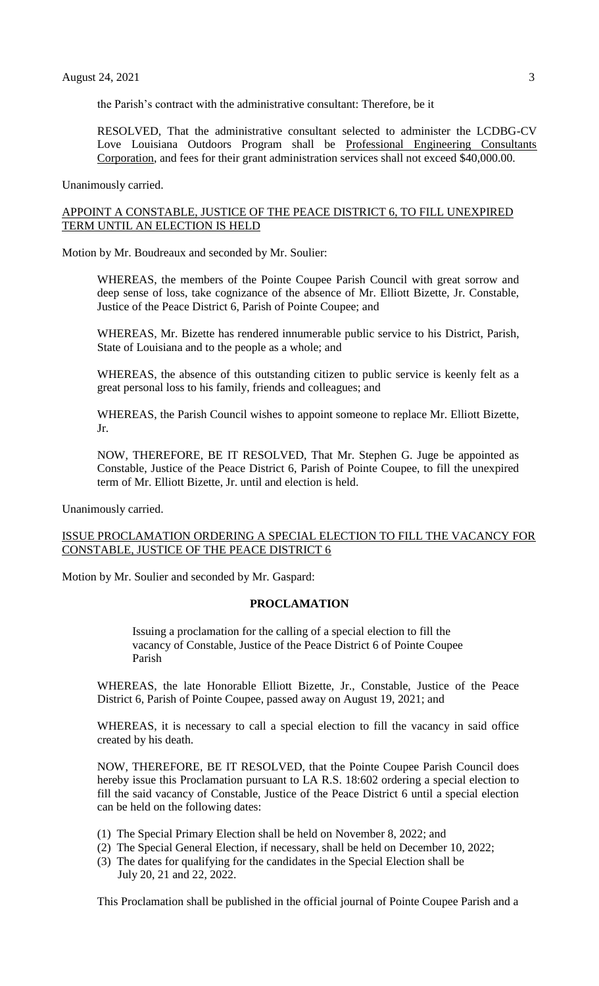the Parish's contract with the administrative consultant: Therefore, be it

RESOLVED, That the administrative consultant selected to administer the LCDBG-CV Love Louisiana Outdoors Program shall be Professional Engineering Consultants Corporation, and fees for their grant administration services shall not exceed \$40,000.00.

Unanimously carried.

## APPOINT A CONSTABLE, JUSTICE OF THE PEACE DISTRICT 6, TO FILL UNEXPIRED TERM UNTIL AN ELECTION IS HELD

Motion by Mr. Boudreaux and seconded by Mr. Soulier:

WHEREAS, the members of the Pointe Coupee Parish Council with great sorrow and deep sense of loss, take cognizance of the absence of Mr. Elliott Bizette, Jr. Constable, Justice of the Peace District 6, Parish of Pointe Coupee; and

WHEREAS, Mr. Bizette has rendered innumerable public service to his District, Parish, State of Louisiana and to the people as a whole; and

WHEREAS, the absence of this outstanding citizen to public service is keenly felt as a great personal loss to his family, friends and colleagues; and

WHEREAS, the Parish Council wishes to appoint someone to replace Mr. Elliott Bizette, Jr.

NOW, THEREFORE, BE IT RESOLVED, That Mr. Stephen G. Juge be appointed as Constable, Justice of the Peace District 6, Parish of Pointe Coupee, to fill the unexpired term of Mr. Elliott Bizette, Jr. until and election is held.

Unanimously carried.

#### ISSUE PROCLAMATION ORDERING A SPECIAL ELECTION TO FILL THE VACANCY FOR CONSTABLE, JUSTICE OF THE PEACE DISTRICT 6

Motion by Mr. Soulier and seconded by Mr. Gaspard:

#### **PROCLAMATION**

Issuing a proclamation for the calling of a special election to fill the vacancy of Constable, Justice of the Peace District 6 of Pointe Coupee Parish

WHEREAS, the late Honorable Elliott Bizette, Jr., Constable, Justice of the Peace District 6, Parish of Pointe Coupee, passed away on August 19, 2021; and

WHEREAS, it is necessary to call a special election to fill the vacancy in said office created by his death.

NOW, THEREFORE, BE IT RESOLVED, that the Pointe Coupee Parish Council does hereby issue this Proclamation pursuant to LA R.S. 18:602 ordering a special election to fill the said vacancy of Constable, Justice of the Peace District 6 until a special election can be held on the following dates:

- (1) The Special Primary Election shall be held on November 8, 2022; and
- (2) The Special General Election, if necessary, shall be held on December 10, 2022;
- (3) The dates for qualifying for the candidates in the Special Election shall be July 20, 21 and 22, 2022.

This Proclamation shall be published in the official journal of Pointe Coupee Parish and a